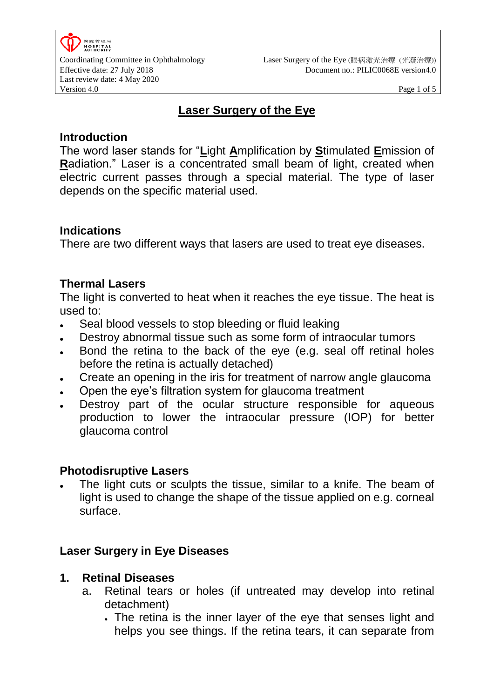

# **Laser Surgery of the Eye**

### **Introduction**

The word laser stands for "**L**ight **A**mplification by **S**timulated **E**mission of **R**adiation." Laser is a concentrated small beam of light, created when electric current passes through a special material. The type of laser depends on the specific material used.

## **Indications**

There are two different ways that lasers are used to treat eye diseases.

## **Thermal Lasers**

The light is converted to heat when it reaches the eye tissue. The heat is used to:

- Seal blood vessels to stop bleeding or fluid leaking
- Destroy abnormal tissue such as some form of intraocular tumors
- Bond the retina to the back of the eye (e.g. seal off retinal holes before the retina is actually detached)
- Create an opening in the iris for treatment of narrow angle glaucoma
- Open the eye's filtration system for glaucoma treatment
- Destroy part of the ocular structure responsible for aqueous production to lower the intraocular pressure (IOP) for better glaucoma control

## **Photodisruptive Lasers**

 The light cuts or sculpts the tissue, similar to a knife. The beam of light is used to change the shape of the tissue applied on e.g. corneal surface.

## **Laser Surgery in Eye Diseases**

## **1. Retinal Diseases**

- a. Retinal tears or holes (if untreated may develop into retinal detachment)
	- The retina is the inner layer of the eye that senses light and helps you see things. If the retina tears, it can separate from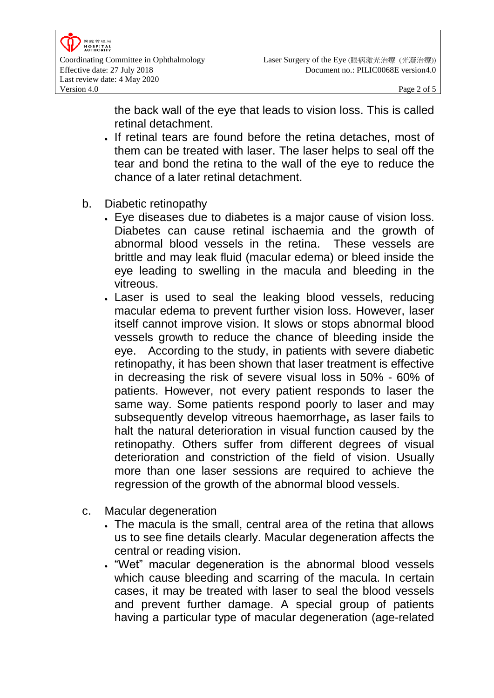the back wall of the eye that leads to vision loss. This is called retinal detachment.

- If retinal tears are found before the retina detaches, most of them can be treated with laser. The laser helps to seal off the tear and bond the retina to the wall of the eye to reduce the chance of a later retinal detachment.
- b. Diabetic retinopathy
	- Eye diseases due to diabetes is a major cause of vision loss. Diabetes can cause retinal ischaemia and the growth of abnormal blood vessels in the retina. These vessels are brittle and may leak fluid (macular edema) or bleed inside the eye leading to swelling in the macula and bleeding in the vitreous.
	- Laser is used to seal the leaking blood vessels, reducing macular edema to prevent further vision loss. However, laser itself cannot improve vision. It slows or stops abnormal blood vessels growth to reduce the chance of bleeding inside the eye. According to the study, in patients with severe diabetic retinopathy, it has been shown that laser treatment is effective in decreasing the risk of severe visual loss in 50% - 60% of patients. However, not every patient responds to laser the same way. Some patients respond poorly to laser and may subsequently develop vitreous haemorrhage**,** as laser fails to halt the natural deterioration in visual function caused by the retinopathy. Others suffer from different degrees of visual deterioration and constriction of the field of vision. Usually more than one laser sessions are required to achieve the regression of the growth of the abnormal blood vessels.
- c. Macular degeneration
	- The macula is the small, central area of the retina that allows us to see fine details clearly. Macular degeneration affects the central or reading vision.
	- . "Wet" macular degeneration is the abnormal blood vessels which cause bleeding and scarring of the macula. In certain cases, it may be treated with laser to seal the blood vessels and prevent further damage. A special group of patients having a particular type of macular degeneration (age-related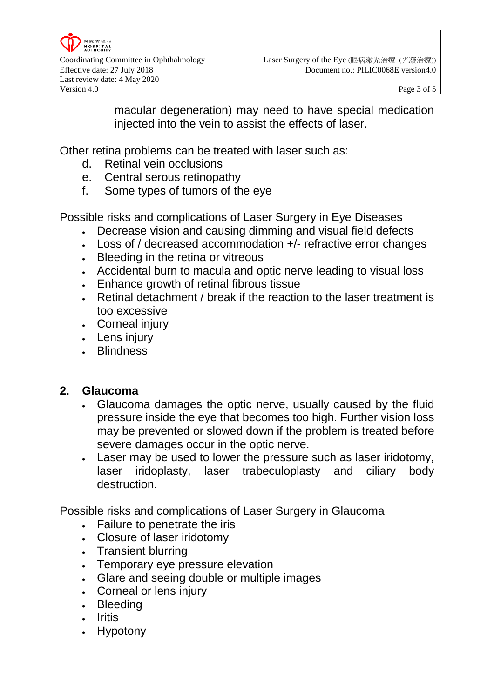macular degeneration) may need to have special medication injected into the vein to assist the effects of laser.

Other retina problems can be treated with laser such as:

- d. Retinal vein occlusions
- e. Central serous retinopathy
- f. Some types of tumors of the eye

Possible risks and complications of Laser Surgery in Eye Diseases

- Decrease vision and causing dimming and visual field defects
- Loss of / decreased accommodation +/- refractive error changes
- Bleeding in the retina or vitreous
- Accidental burn to macula and optic nerve leading to visual loss
- Enhance growth of retinal fibrous tissue
- Retinal detachment / break if the reaction to the laser treatment is too excessive
- Corneal injury
- Lens injury
- Blindness

## **2. Glaucoma**

- Glaucoma damages the optic nerve, usually caused by the fluid pressure inside the eye that becomes too high. Further vision loss may be prevented or slowed down if the problem is treated before severe damages occur in the optic nerve.
- Laser may be used to lower the pressure such as laser iridotomy, laser iridoplasty, laser trabeculoplasty and ciliary body destruction.

Possible risks and complications of Laser Surgery in Glaucoma

- Failure to penetrate the iris
- Closure of laser iridotomy
- Transient blurring
- Temporary eye pressure elevation
- Glare and seeing double or multiple images
- Corneal or lens injury
- Bleeding
- . Iritis
- Hypotony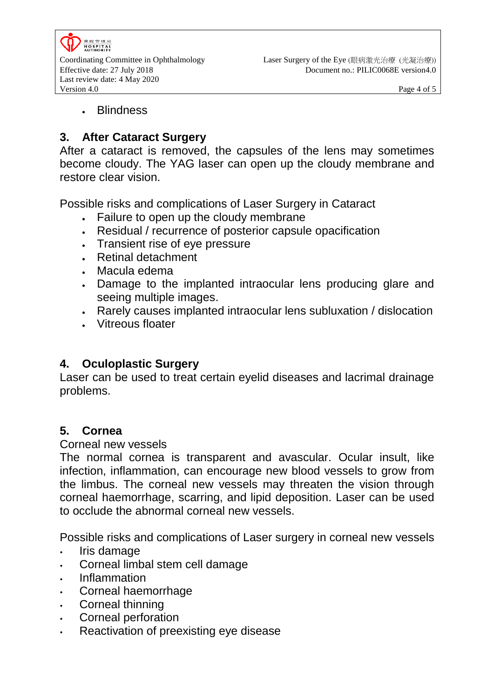

#### **Blindness**

## **3. After Cataract Surgery**

After a cataract is removed, the capsules of the lens may sometimes become cloudy. The YAG laser can open up the cloudy membrane and restore clear vision.

Possible risks and complications of Laser Surgery in Cataract

- Failure to open up the cloudy membrane
- Residual / recurrence of posterior capsule opacification
- Transient rise of eye pressure
- Retinal detachment
- Macula edema
- Damage to the implanted intraocular lens producing glare and seeing multiple images.
- Rarely causes implanted intraocular lens subluxation / dislocation
- Vitreous floater

## **4. Oculoplastic Surgery**

Laser can be used to treat certain eyelid diseases and lacrimal drainage problems.

### **5. Cornea**

#### Corneal new vessels

The normal cornea is transparent and avascular. Ocular insult, like infection, inflammation, can encourage new blood vessels to grow from the limbus. The corneal new vessels may threaten the vision through corneal haemorrhage, scarring, and lipid deposition. Laser can be used to occlude the abnormal corneal new vessels.

Possible risks and complications of Laser surgery in corneal new vessels

- Iris damage
- Corneal limbal stem cell damage
- Inflammation
- Corneal haemorrhage
- Corneal thinning
- Corneal perforation
- Reactivation of preexisting eye disease